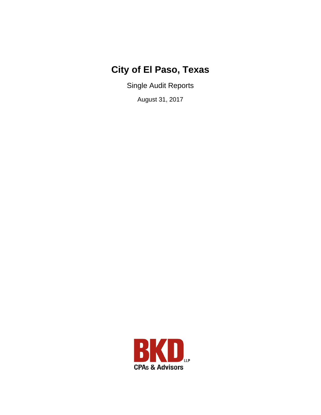## **City of El Paso, Texas**

Single Audit Reports

August 31, 2017

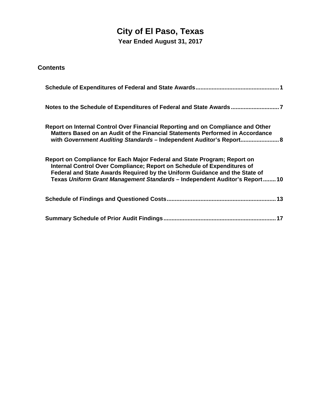# **City of El Paso, Texas**

**Year Ended August 31, 2017** 

#### **Contents**

| Notes to the Schedule of Expenditures of Federal and State Awards7                                                                                                                                                                                                                                             |
|----------------------------------------------------------------------------------------------------------------------------------------------------------------------------------------------------------------------------------------------------------------------------------------------------------------|
| Report on Internal Control Over Financial Reporting and on Compliance and Other<br>Matters Based on an Audit of the Financial Statements Performed in Accordance<br>with Government Auditing Standards - Independent Auditor's Report 8                                                                        |
| Report on Compliance for Each Major Federal and State Program; Report on<br>Internal Control Over Compliance; Report on Schedule of Expenditures of<br>Federal and State Awards Required by the Uniform Guidance and the State of<br>Texas Uniform Grant Management Standards - Independent Auditor's Report10 |
|                                                                                                                                                                                                                                                                                                                |
|                                                                                                                                                                                                                                                                                                                |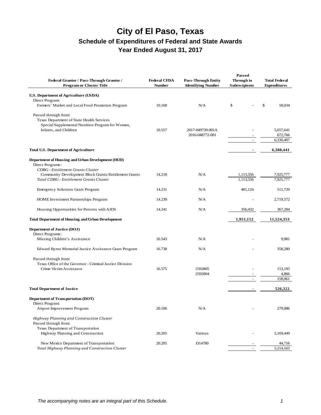| Federal Grantor / Pass-Through Grantor /<br><b>Program or Cluster Title</b> | <b>Federal CFDA</b><br><b>Number</b> | <b>Pass-Through Entity</b><br><b>Identifying Number</b> | <b>Passed</b><br>Through to<br><b>Subrecipients</b> | <b>Total Federal</b><br><b>Expenditures</b> |
|-----------------------------------------------------------------------------|--------------------------------------|---------------------------------------------------------|-----------------------------------------------------|---------------------------------------------|
| U.S. Department of Agriculture (USDA)                                       |                                      |                                                         |                                                     |                                             |
| Direct Program:                                                             |                                      |                                                         |                                                     |                                             |
| Farmers' Market and Local Food Promotion Program                            | 10.168                               | N/A                                                     | \$                                                  | \$<br>58,034                                |
| Passed through from:                                                        |                                      |                                                         |                                                     |                                             |
| Texas Department of State Health Services                                   |                                      |                                                         |                                                     |                                             |
| Special Supplemental Nutrition Program for Women,                           |                                      |                                                         |                                                     |                                             |
| Infants, and Children                                                       | 10.557                               | 2017-049739-001A                                        |                                                     | 5,657,641                                   |
|                                                                             |                                      | 2016-048772-001                                         |                                                     | 672,766                                     |
|                                                                             |                                      |                                                         |                                                     | 6,330,407                                   |
| <b>Total U.S. Department of Agriculture</b>                                 |                                      |                                                         |                                                     | 6,388,441                                   |
| Department of Housing and Urban Development (HUD)<br>Direct Programs:       |                                      |                                                         |                                                     |                                             |
| <b>CDBG</b> - Entitlement Grants Cluster                                    |                                      |                                                         |                                                     |                                             |
| Community Development Block Grants/Entitlement Grants                       | 14.218                               | N/A                                                     | 1,113,556                                           | 7,925,777                                   |
| <b>Total CDBG - Entitlement Grants Cluster</b>                              |                                      |                                                         | 1,113,556                                           | 7,925,777                                   |
| <b>Emergency Solutions Grant Program</b>                                    | 14.231                               | N/A                                                     | 481,124                                             | 511,720                                     |
| HOME Investment Partnerships Program                                        | 14.239                               | N/A                                                     |                                                     | 2,719,572                                   |
| Housing Opportunities for Persons with AIDS                                 | 14.241                               | N/A                                                     | 356,432                                             | 367,284                                     |
| <b>Total Department of Housing and Urban Development</b>                    |                                      |                                                         | 1,951,112                                           | 11,524,353                                  |
| Department of Justice (DOJ)                                                 |                                      |                                                         |                                                     |                                             |
| Direct Programs:                                                            |                                      |                                                         |                                                     |                                             |
| Missing Children's Assistance                                               | 16.543                               | N/A                                                     |                                                     | 9,981                                       |
| Edward Byrne Memorial Justice Assistance Grant Program                      | 16.738                               | N/A                                                     |                                                     | 358,280                                     |
| Passed through from:                                                        |                                      |                                                         |                                                     |                                             |
| Texas Office of the Governor - Criminal Justice Division                    |                                      |                                                         |                                                     |                                             |
| Crime Victim Assistance                                                     | 16.575                               | 2592805                                                 |                                                     | 153,195                                     |
|                                                                             |                                      | 2592804                                                 |                                                     | 4,866                                       |
|                                                                             |                                      |                                                         |                                                     | 158,061                                     |
| <b>Total Department of Justice</b>                                          |                                      |                                                         |                                                     | 526,322                                     |
| Department of Transportation (DOT)                                          |                                      |                                                         |                                                     |                                             |
| Direct Program:                                                             |                                      |                                                         |                                                     |                                             |
| Airport Improvement Program                                                 | 20.106                               | N/A                                                     |                                                     | 279,086                                     |
| Highway Planning and Construction Cluster                                   |                                      |                                                         |                                                     |                                             |
| Passed through from:                                                        |                                      |                                                         |                                                     |                                             |
| Texas Department of Transportation                                          |                                      |                                                         |                                                     |                                             |
| Highway Planning and Construction                                           | 20.205                               | Various                                                 |                                                     | 5,169,449                                   |
| New Mexico Department of Transportation                                     | 20.205                               | D14780                                                  |                                                     | 44,716                                      |
| Total Highway Planning and Construction Cluster                             |                                      |                                                         |                                                     | 5,214,165                                   |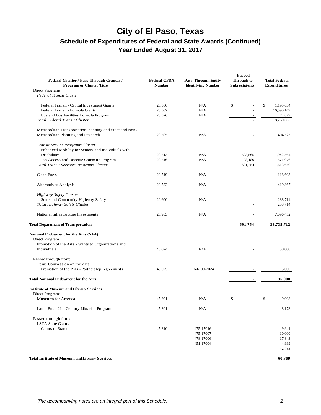| Federal Grantor / Pass-Through Grantor /<br><b>Program or Cluster Title</b> | <b>Federal CFDA</b><br><b>Number</b> | <b>Pass-Through Entity</b><br><b>Identifying Number</b> | Passed<br>Through to<br><b>Subrecipients</b> | <b>Total Federal</b><br><b>Expenditures</b> |
|-----------------------------------------------------------------------------|--------------------------------------|---------------------------------------------------------|----------------------------------------------|---------------------------------------------|
| Direct Programs:                                                            |                                      |                                                         |                                              |                                             |
| <b>Federal Transit Cluster</b>                                              |                                      |                                                         |                                              |                                             |
| Federal Transit - Capital Investment Grants                                 | 20.500                               | N/A                                                     | \$                                           | \$<br>1,195,634                             |
| Federal Transit - Formula Grants                                            | 20.507                               | N/A                                                     |                                              | 16,590,149                                  |
| Bus and Bus Facilities Formula Program                                      | 20.526                               | N/A                                                     |                                              | 474,879                                     |
| <b>Total Federal Transit Cluster</b>                                        |                                      |                                                         |                                              | 18,260,662                                  |
| Metropolitan Transportation Planning and State and Non-                     |                                      |                                                         |                                              |                                             |
| Metropolitan Planning and Research                                          | 20.505                               | N/A                                                     |                                              | 494,523                                     |
| Transit Service Programs Cluster                                            |                                      |                                                         |                                              |                                             |
| Enhanced Mobility for Seniors and Individuals with                          |                                      |                                                         |                                              |                                             |
| <b>Disabilities</b>                                                         | 20.513                               | N/A                                                     | 593,565                                      | 1,042,564                                   |
| Job Access and Reverse Commute Program                                      | 20.516                               | N/A                                                     | 98,189                                       | 571,076                                     |
| Total Transit Services Programs Cluster                                     |                                      |                                                         | 691,754                                      | 1,613,640                                   |
| Clean Fuels                                                                 | 20.519                               | N/A                                                     |                                              | 118,603                                     |
| Alternatives Analysis                                                       | 20.522                               | N/A                                                     |                                              | 419,867                                     |
| <b>Highway Safety Cluster</b>                                               |                                      |                                                         |                                              |                                             |
| State and Community Highway Safety                                          | 20.600                               | N/A                                                     |                                              | 238,714                                     |
| Total Highway Safety Cluster                                                |                                      |                                                         |                                              | 238.714                                     |
| National Infrastructure Investments                                         | 20.933                               | N/A                                                     |                                              | 7,096,452                                   |
| <b>Total Department of Transportation</b>                                   |                                      |                                                         | 691,754                                      | 33,735,712                                  |
| National Endowment for the Arts (NEA)<br>Direct Program:                    |                                      |                                                         |                                              |                                             |
| Promotion of the Arts - Grants to Organizations and                         |                                      |                                                         |                                              |                                             |
| Individuals                                                                 | 45.024                               | N/A                                                     |                                              | 30,000                                      |
| Passed through from:                                                        |                                      |                                                         |                                              |                                             |
| Texas Commission on the Arts                                                |                                      |                                                         |                                              |                                             |
| Promotion of the Arts - Partnership Agreements                              | 45.025                               | 16-6100-2024                                            |                                              | 5,000                                       |
| <b>Total National Endowment for the Arts</b>                                |                                      |                                                         |                                              | 35,000                                      |
| <b>Institute of Museum and Library Services</b><br>Direct Programs:         |                                      |                                                         |                                              |                                             |
| Museums for America                                                         | 45.301                               | N/A                                                     | \$                                           | 9,908<br><sup>\$</sup>                      |
| Laura Bush 21st Century Librarian Program                                   | 45.301                               | N/A                                                     | $\overline{\phantom{a}}$                     | 8,178                                       |
| Passed through from:<br><b>LSTA State Grants</b>                            |                                      |                                                         |                                              |                                             |
| Grants to States                                                            | 45.310                               | 475-17016                                               |                                              | 9,941                                       |
|                                                                             |                                      | 475-17007                                               |                                              | 10,000                                      |
|                                                                             |                                      | 478-17006                                               |                                              | 17,843                                      |
|                                                                             |                                      | 451-17004                                               |                                              | 4,999                                       |
|                                                                             |                                      |                                                         |                                              | 42,783                                      |
| <b>Total Institute of Museum and Library Services</b>                       |                                      |                                                         |                                              | 60,869                                      |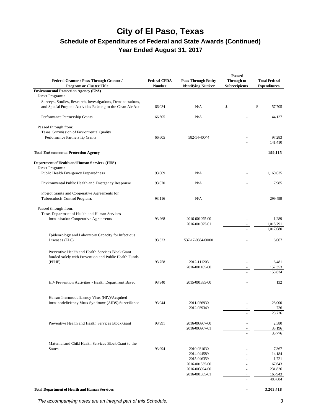| Federal Grantor / Pass-Through Grantor /<br><b>Program or Cluster Title</b> | <b>Federal CFDA</b><br><b>Number</b> | <b>Pass-Through Entity</b><br><b>Identifying Number</b> | Passed<br>Through to<br><b>Subrecipients</b> | <b>Total Federal</b><br><b>Expenditures</b> |
|-----------------------------------------------------------------------------|--------------------------------------|---------------------------------------------------------|----------------------------------------------|---------------------------------------------|
| <b>Environmental Protection Agency (EPA)</b>                                |                                      |                                                         |                                              |                                             |
| Direct Programs:                                                            |                                      |                                                         |                                              |                                             |
| Surveys, Studies, Research, Investigations, Demonstrations,                 |                                      |                                                         |                                              |                                             |
| and Special Purpose Activities Relating to the Clean Air Act                | 66.034                               | N/A                                                     | \$                                           | \$<br>57,705                                |
| Performance Partnership Grants                                              | 66.605                               | N/A                                                     |                                              | 44,127                                      |
| Passed through from:                                                        |                                      |                                                         |                                              |                                             |
| Texas Commission of Enviormental Quality                                    |                                      |                                                         |                                              |                                             |
| Performance Partnership Grants                                              | 66.605                               | 582-14-40044                                            |                                              | 97,283                                      |
|                                                                             |                                      |                                                         | $\equiv$                                     | 141,410                                     |
| <b>Total Environmental Protection Agency</b>                                |                                      |                                                         |                                              | 199,115                                     |
| Department of Health and Human Services (HHS)                               |                                      |                                                         |                                              |                                             |
| Direct Programs:                                                            |                                      |                                                         |                                              |                                             |
| Public Health Emergency Preparedness                                        | 93.069                               | N/A                                                     |                                              | 1,160,635                                   |
| Environmental Public Health and Emergency Response                          | 93.070                               | N/A                                                     |                                              | 7,985                                       |
|                                                                             |                                      |                                                         |                                              |                                             |
| Project Grants and Cooperative Agreements for                               |                                      |                                                         |                                              |                                             |
| Tuberculosis Control Programs                                               | 93.116                               | N/A                                                     |                                              | 299,499                                     |
| Passed through from:                                                        |                                      |                                                         |                                              |                                             |
| Texas Department of Health and Human Services                               |                                      |                                                         |                                              |                                             |
| Immunization Cooperative Agreements                                         | 93.268                               | 2016-001075-00                                          |                                              | 1,289                                       |
|                                                                             |                                      | 2016-001075-01                                          |                                              | 1,015,791                                   |
|                                                                             |                                      |                                                         |                                              | 1,017,080                                   |
| Epidemiology and Laboratory Capacity for Infectious                         |                                      |                                                         |                                              |                                             |
| Diseases (ELC)                                                              | 93.323                               | 537-17-0384-00001                                       |                                              | 6,067                                       |
|                                                                             |                                      |                                                         |                                              |                                             |
| Preventive Health and Health Services Block Grant                           |                                      |                                                         |                                              |                                             |
| funded solely with Prevention and Public Health Funds<br>(PPHF)             | 93.758                               | 2012-111203                                             |                                              | 6,481                                       |
|                                                                             |                                      | 2016-001185-00                                          |                                              | 152,353                                     |
|                                                                             |                                      |                                                         |                                              | 158,834                                     |
|                                                                             |                                      |                                                         |                                              |                                             |
| HIV Prevention Activities - Health Department Based                         | 93.940                               | 2015-001335-00                                          |                                              | 132                                         |
|                                                                             |                                      |                                                         |                                              |                                             |
| Human Immunodeficiency Virus (HIV)/Acquired                                 |                                      |                                                         |                                              |                                             |
| Immunodeficiency Virus Syndrome (AIDS) Surveillance                         | 93.944                               | 2011-036930<br>2012-039349                              |                                              | 28,000                                      |
|                                                                             |                                      |                                                         |                                              | 726<br>28,726                               |
|                                                                             |                                      |                                                         |                                              |                                             |
| Preventive Health and Health Services Block Grant                           | 93.991                               | 2016-003907-00                                          |                                              | 2,580                                       |
|                                                                             |                                      | 2016-003907-01                                          |                                              | 33,196                                      |
|                                                                             |                                      |                                                         |                                              | 35,776                                      |
| Maternal and Child Health Services Block Grant to the                       |                                      |                                                         |                                              |                                             |
| <b>States</b>                                                               | 93.994                               | 2010-031630                                             |                                              | 7,367                                       |
|                                                                             |                                      | 2014-044589                                             |                                              | 14,184                                      |
|                                                                             |                                      | 2015-046359                                             |                                              | 1,721                                       |
|                                                                             |                                      | 2016-001335-00                                          |                                              | 67,643                                      |
|                                                                             |                                      | 2016-003924-00                                          |                                              | 231,826                                     |
|                                                                             |                                      | 2016-001335-01                                          |                                              | 165,943                                     |
|                                                                             |                                      |                                                         |                                              | 488,684                                     |
| <b>Total Department of Health and Human Services</b>                        |                                      |                                                         |                                              | 3,203,418                                   |
|                                                                             |                                      |                                                         |                                              |                                             |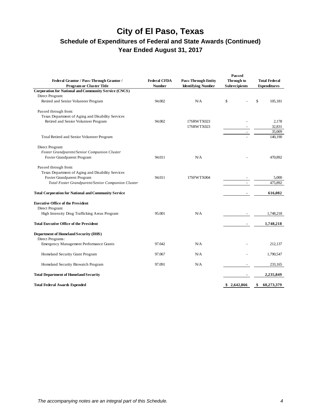| Federal Grantor / Pass-Through Grantor /<br><b>Program or Cluster Title</b> | <b>Federal CFDA</b><br><b>Number</b> | <b>Pass-Through Entity</b><br><b>Identifying Number</b> | Passed<br>Through to<br><b>Subrecipients</b> | <b>Total Federal</b><br><b>Expenditures</b> |
|-----------------------------------------------------------------------------|--------------------------------------|---------------------------------------------------------|----------------------------------------------|---------------------------------------------|
| <b>Corporation for National and Community Service (CNCS)</b>                |                                      |                                                         |                                              |                                             |
| Direct Program:                                                             |                                      |                                                         |                                              |                                             |
| Retired and Senior Volunteer Program                                        | 94.002                               | N/A                                                     | \$                                           | \$<br>105,181                               |
| Passed through from:                                                        |                                      |                                                         |                                              |                                             |
| Texas Department of Aging and Disability Services                           |                                      |                                                         |                                              |                                             |
| Retired and Senior Volunteer Program                                        | 94.002                               | 17SRWTX023<br>17SRWTX023                                |                                              | 2,178<br>32,831                             |
|                                                                             |                                      |                                                         |                                              | 35,009                                      |
| Total Retired and Senior Volunteer Program                                  |                                      |                                                         |                                              | 140,190                                     |
| Direct Program:                                                             |                                      |                                                         |                                              |                                             |
| Foster Grandparent/Senior Companion Cluster                                 |                                      |                                                         |                                              |                                             |
| Foster Grandparent Program                                                  | 94.011                               | N/A                                                     |                                              | 470,892                                     |
| Passed through from:                                                        |                                      |                                                         |                                              |                                             |
| Texas Department of Aging and Disability Services                           |                                      |                                                         |                                              |                                             |
| Foster Grandparent Program                                                  | 94.011                               | 17SFWTX004                                              |                                              | 5,000                                       |
| Total Foster Grandparent/Senior Companion Cluster                           |                                      |                                                         |                                              | 475,892                                     |
| <b>Total Corporation for National and Community Service</b>                 |                                      |                                                         |                                              | 616,082                                     |
| <b>Executive Office of the President</b>                                    |                                      |                                                         |                                              |                                             |
| Direct Program:                                                             |                                      |                                                         |                                              |                                             |
| High Intensity Drug Trafficking Areas Program                               | 95.001                               | N/A                                                     |                                              | 1,748,218                                   |
| <b>Total Executive Office of the President</b>                              |                                      |                                                         |                                              | 1,748,218                                   |
| <b>Department of Homeland Security (DHS)</b><br>Direct Programs:            |                                      |                                                         |                                              |                                             |
| <b>Emergency Management Performance Grants</b>                              | 97.042                               | N/A                                                     |                                              | 212,137                                     |
| Homeland Security Grant Program                                             | 97.067                               | N/A                                                     |                                              | 1,790,547                                   |
| Homeland Security Biowatch Program                                          | 97.091                               | N/A                                                     |                                              | 233,165                                     |
| <b>Total Department of Homeland Security</b>                                |                                      |                                                         |                                              | 2,235,849                                   |
| Total Federal Awards Expended                                               |                                      |                                                         | \$2,642,866                                  | 60,273,379<br>S                             |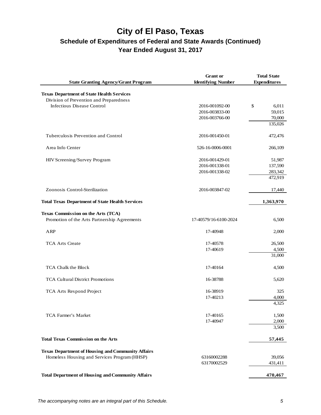| <b>State Granting Agency/Grant Program</b>               | <b>Grant</b> or<br><b>Identifying Number</b> | <b>Total State</b><br><b>Expenditures</b> |
|----------------------------------------------------------|----------------------------------------------|-------------------------------------------|
| <b>Texas Department of State Health Services</b>         |                                              |                                           |
| Division of Prevention and Preparedness                  |                                              |                                           |
| <b>Infectious Disease Control</b>                        | 2016-001092-00                               | \$<br>6,011                               |
|                                                          | 2016-003833-00                               | 59,015                                    |
|                                                          | 2016-003766-00                               | 70,000                                    |
|                                                          |                                              | 135,026                                   |
| Tuberculosis Prevention and Control                      | 2016-001450-01                               | 472,476                                   |
| Area Info Center                                         | 526-16-0006-0001                             | 266,109                                   |
| HIV Screening/Survey Program                             | 2016-001429-01                               | 51,987                                    |
|                                                          | 2016-001338-01                               | 137,590                                   |
|                                                          | 2016-001338-02                               | 283,342                                   |
|                                                          |                                              | 472,919                                   |
| Zoonosis Control-Sterilization                           | 2016-003847-02                               | 17,440                                    |
| <b>Total Texas Department of State Health Services</b>   |                                              | 1,363,970                                 |
|                                                          |                                              |                                           |
| Texas Commission on the Arts (TCA)                       |                                              |                                           |
| Promotion of the Arts Partnership Agreements             | 17-40579/16-6100-2024                        | 6,500                                     |
| ARP                                                      | 17-40948                                     | 2,000                                     |
| <b>TCA Arts Create</b>                                   | 17-40578                                     | 26,500                                    |
|                                                          | 17-40619                                     | 4,500                                     |
|                                                          |                                              | 31,000                                    |
| TCA Chalk the Block                                      | 17-40164                                     | 4,500                                     |
| <b>TCA Cultural District Promotions</b>                  | 16-38788                                     | 5,620                                     |
| TCA Arts Respond Project                                 | 16-38919                                     | 325                                       |
|                                                          | 17-40213                                     | 4,000                                     |
|                                                          |                                              | 4,325                                     |
| TCA Farmer's Market                                      | 17-40165                                     | 1,500                                     |
|                                                          | 17-40947                                     | 2,000                                     |
|                                                          |                                              | 3,500                                     |
| <b>Total Texas Commission on the Arts</b>                |                                              | 57,445                                    |
|                                                          |                                              |                                           |
| <b>Texas Department of Housing and Community Affairs</b> |                                              |                                           |
| Homeless Housing and Services Program (HHSP)             | 63160002288                                  | 39,056                                    |
|                                                          | 63170002529                                  | 431,411                                   |
| <b>Total Department of Housing and Community Affairs</b> |                                              | 470,467                                   |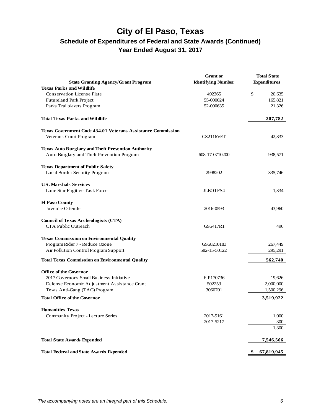| <b>State Granting Agency/Grant Program</b>                         | <b>Grant</b> or<br><b>Identifying Number</b> | <b>Total State</b><br><b>Expenditures</b> |
|--------------------------------------------------------------------|----------------------------------------------|-------------------------------------------|
| <b>Texas Parks and Wildlife</b>                                    |                                              |                                           |
| <b>Conservation License Plate</b>                                  | 492365                                       | \$<br>20,635                              |
| Futureland Park Project                                            | 55-000024                                    | 165,821                                   |
| Parks Trailblazers Program                                         | 52-000635                                    | 21,326                                    |
| <b>Total Texas Parks and Wildlife</b>                              |                                              | 207,782                                   |
| <b>Texas Government Code 434.01 Veterans Assistance Commission</b> |                                              |                                           |
| Veterans Court Program                                             | <b>GS2116VET</b>                             | 42,833                                    |
| <b>Texas Auto Burglary and Theft Prevention Authority</b>          |                                              |                                           |
| Auto Burglary and Theft Prevention Program                         | 608-17-0710200                               | 938,571                                   |
| <b>Texas Department of Public Safety</b>                           |                                              |                                           |
| Local Border Security Program                                      | 2998202                                      | 335,746                                   |
| <b>U.S. Marshals Services</b>                                      |                                              |                                           |
| Lone Star Fugitive Task Force                                      | <b>JLEOTFS4</b>                              | 1,334                                     |
| El Paso County                                                     |                                              |                                           |
| Juvenile Offender                                                  | 2016-0593                                    | 43,960                                    |
| <b>Council of Texas Archeologists (CTA)</b>                        |                                              |                                           |
| <b>CTA Public Outreach</b>                                         | GS5417R1                                     | 496                                       |
| <b>Texas Commission on Environmental Quality</b>                   |                                              |                                           |
| Program Rider 7 - Reduce Ozone                                     | GS58210183                                   | 267,449                                   |
| Air Pollution Control Program Support                              | 582-15-50122                                 | 295,291                                   |
| <b>Total Texas Commission on Environmental Quality</b>             |                                              | 562,740                                   |
| <b>Office of the Governor</b>                                      |                                              |                                           |
| 2017 Governor's Small Business Initiative                          | F-P170736                                    | 19,626                                    |
| Defense Economic Adjustment Assistance Grant                       | 502253                                       | 2,000,000                                 |
| Texas Anti-Gang (TAG) Program                                      | 3060701                                      | 1,500,296                                 |
| <b>Total Office of the Governor</b>                                |                                              | 3,519,922                                 |
| <b>Humanities Texas</b>                                            |                                              |                                           |
| Community Project - Lecture Series                                 | 2017-5161                                    | 1,000                                     |
|                                                                    | 2017-5217                                    | 300                                       |
|                                                                    |                                              | 1,300                                     |
| <b>Total State Awards Expended</b>                                 |                                              | 7,546,566                                 |
| <b>Total Federal and State Awards Expended</b>                     |                                              | 67,819,945                                |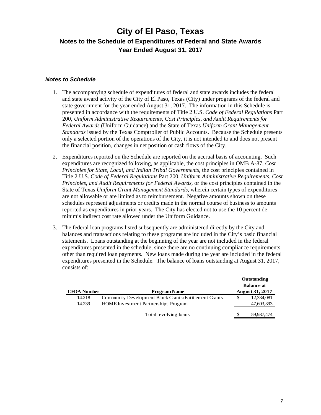### **City of El Paso, Texas Notes to the Schedule of Expenditures of Federal and State Awards Year Ended August 31, 2017**

#### *Notes to Schedule*

- 1. The accompanying schedule of expenditures of federal and state awards includes the federal and state award activity of the City of El Paso, Texas (City) under programs of the federal and state government for the year ended August 31, 2017. The information in this Schedule is presented in accordance with the requirements of Title 2 U.S. *Code of Federal Regulations* Part 200, *Uniform Administrative Requirements, Cost Principles, and Audit Requirements for Federal Awards* (Uniform Guidance) and the State of Texas *Uniform Grant Management Standards* issued by the Texas Comptroller of Public Accounts. Because the Schedule presents only a selected portion of the operations of the City, it is not intended to and does not present the financial position, changes in net position or cash flows of the City.
- 2. Expenditures reported on the Schedule are reported on the accrual basis of accounting. Such expenditures are recognized following, as applicable, the cost principles in OMB A-87*, Cost Principles for State, Local, and Indian Tribal Governments*, the cost principles contained in Title 2 U.S. *Code of Federal Regulations* Part 200, *Uniform Administrative Requirements, Cost Principles, and Audit Requirements for Federal Awards*, or the cost principles contained in the State of Texas *Uniform Grant Management Standards*, wherein certain types of expenditures are not allowable or are limited as to reimbursement. Negative amounts shown on these schedules represent adjustments or credits made in the normal course of business to amounts reported as expenditures in prior years. The City has elected not to use the 10 percent de minimis indirect cost rate allowed under the Uniform Guidance.
- 3. The federal loan programs listed subsequently are administered directly by the City and balances and transactions relating to these programs are included in the City's basic financial statements. Loans outstanding at the beginning of the year are not included in the federal expenditures presented in the schedule, since there are no continuing compliance requirements other than required loan payments. New loans made during the year are included in the federal expenditures presented in the Schedule. The balance of loans outstanding at August 31, 2017, consists of:

|                    |                                                       | <b>Outstanding</b><br><b>Balance at</b> |
|--------------------|-------------------------------------------------------|-----------------------------------------|
| <b>CFDA Number</b> | <b>Program Name</b>                                   | <b>August 31, 2017</b>                  |
| 14.218             | Community Development Block Grants/Entitlement Grants | 12.334.081                              |
| 14.239             | <b>HOME</b> Investment Partnerships Program           | 47,603,393                              |
|                    | Total revolving loans                                 | 59.937.474                              |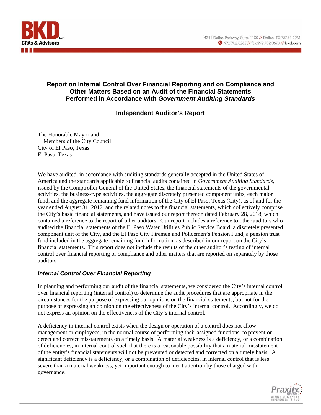

#### **Report on Internal Control Over Financial Reporting and on Compliance and Other Matters Based on an Audit of the Financial Statements Performed in Accordance with** *Government Auditing Standards*

#### **Independent Auditor's Report**

The Honorable Mayor and Members of the City Council City of El Paso, Texas El Paso, Texas

We have audited, in accordance with auditing standards generally accepted in the United States of America and the standards applicable to financial audits contained in *Government Auditing Standards*, issued by the Comptroller General of the United States, the financial statements of the governmental activities, the business-type activities, the aggregate discretely presented component units, each major fund, and the aggregate remaining fund information of the City of El Paso, Texas (City), as of and for the year ended August 31, 2017, and the related notes to the financial statements, which collectively comprise the City's basic financial statements, and have issued our report thereon dated February 28, 2018, which contained a reference to the report of other auditors. Our report includes a reference to other auditors who audited the financial statements of the El Paso Water Utilities Public Service Board, a discretely presented component unit of the City, and the El Paso City Firemen and Policemen's Pension Fund, a pension trust fund included in the aggregate remaining fund information, as described in our report on the City's financial statements. This report does not include the results of the other auditor's testing of internal control over financial reporting or compliance and other matters that are reported on separately by those auditors.

#### *Internal Control Over Financial Reporting*

In planning and performing our audit of the financial statements, we considered the City's internal control over financial reporting (internal control) to determine the audit procedures that are appropriate in the circumstances for the purpose of expressing our opinions on the financial statements, but not for the purpose of expressing an opinion on the effectiveness of the City's internal control. Accordingly, we do not express an opinion on the effectiveness of the City's internal control.

A deficiency in internal control exists when the design or operation of a control does not allow management or employees, in the normal course of performing their assigned functions, to prevent or detect and correct misstatements on a timely basis. A material weakness is a deficiency, or a combination of deficiencies, in internal control such that there is a reasonable possibility that a material misstatement of the entity's financial statements will not be prevented or detected and corrected on a timely basis. A significant deficiency is a deficiency, or a combination of deficiencies, in internal control that is less severe than a material weakness, yet important enough to merit attention by those charged with governance.

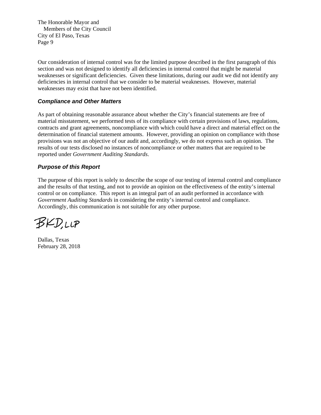The Honorable Mayor and Members of the City Council City of El Paso, Texas Page 9

Our consideration of internal control was for the limited purpose described in the first paragraph of this section and was not designed to identify all deficiencies in internal control that might be material weaknesses or significant deficiencies. Given these limitations, during our audit we did not identify any deficiencies in internal control that we consider to be material weaknesses. However, material weaknesses may exist that have not been identified.

#### *Compliance and Other Matters*

As part of obtaining reasonable assurance about whether the City's financial statements are free of material misstatement, we performed tests of its compliance with certain provisions of laws, regulations, contracts and grant agreements, noncompliance with which could have a direct and material effect on the determination of financial statement amounts. However, providing an opinion on compliance with those provisions was not an objective of our audit and, accordingly, we do not express such an opinion. The results of our tests disclosed no instances of noncompliance or other matters that are required to be reported under *Government Auditing Standards*.

#### *Purpose of this Report*

The purpose of this report is solely to describe the scope of our testing of internal control and compliance and the results of that testing, and not to provide an opinion on the effectiveness of the entity's internal control or on compliance. This report is an integral part of an audit performed in accordance with *Government Auditing Standards* in considering the entity's internal control and compliance. Accordingly, this communication is not suitable for any other purpose.

BKD,LLP

Dallas, Texas February 28, 2018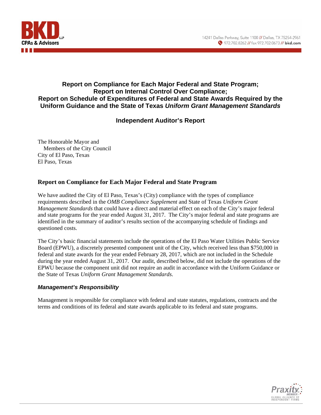

#### **Report on Compliance for Each Major Federal and State Program; Report on Internal Control Over Compliance; Report on Schedule of Expenditures of Federal and State Awards Required by the Uniform Guidance and the State of Texas** *Uniform Grant Management Standards*

#### **Independent Auditor's Report**

The Honorable Mayor and Members of the City Council City of El Paso, Texas El Paso, Texas

#### **Report on Compliance for Each Major Federal and State Program**

We have audited the City of El Paso, Texas's (City) compliance with the types of compliance requirements described in the *OMB Compliance Supplement* and State of Texas *Uniform Grant Management Standards* that could have a direct and material effect on each of the City's major federal and state programs for the year ended August 31, 2017. The City's major federal and state programs are identified in the summary of auditor's results section of the accompanying schedule of findings and questioned costs.

The City's basic financial statements include the operations of the El Paso Water Utilities Public Service Board (EPWU), a discretely presented component unit of the City, which received less than \$750,000 in federal and state awards for the year ended February 28, 2017, which are not included in the Schedule during the year ended August 31, 2017. Our audit, described below, did not include the operations of the EPWU because the component unit did not require an audit in accordance with the Uniform Guidance or the State of Texas *Uniform Grant Management Standards*.

#### *Management's Responsibility*

Management is responsible for compliance with federal and state statutes, regulations, contracts and the terms and conditions of its federal and state awards applicable to its federal and state programs.

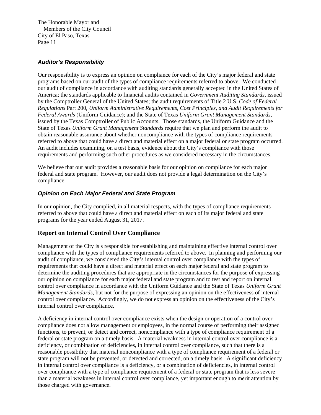The Honorable Mayor and Members of the City Council City of El Paso, Texas Page 11

#### *Auditor's Responsibility*

Our responsibility is to express an opinion on compliance for each of the City's major federal and state programs based on our audit of the types of compliance requirements referred to above. We conducted our audit of compliance in accordance with auditing standards generally accepted in the United States of America; the standards applicable to financial audits contained in *Government Auditing Standards*, issued by the Comptroller General of the United States; the audit requirements of Title 2 U.S. *Code of Federal Regulations* Part 200, *Uniform Administrative Requirements, Cost Principles, and Audit Requirements for Federal Awards* (Uniform Guidance); and the State of Texas *Uniform Grant Management Standards,* issued by the Texas Comptroller of Public Accounts. Those standards, the Uniform Guidance and the State of Texas *Uniform Grant Management Standards* require that we plan and perform the audit to obtain reasonable assurance about whether noncompliance with the types of compliance requirements referred to above that could have a direct and material effect on a major federal or state program occurred. An audit includes examining, on a test basis, evidence about the City's compliance with those requirements and performing such other procedures as we considered necessary in the circumstances.

We believe that our audit provides a reasonable basis for our opinion on compliance for each major federal and state program. However, our audit does not provide a legal determination on the City's compliance.

#### *Opinion on Each Major Federal and State Program*

In our opinion, the City complied, in all material respects, with the types of compliance requirements referred to above that could have a direct and material effect on each of its major federal and state programs for the year ended August 31, 2017.

#### **Report on Internal Control Over Compliance**

Management of the City is s responsible for establishing and maintaining effective internal control over compliance with the types of compliance requirements referred to above. In planning and performing our audit of compliance, we considered the City's internal control over compliance with the types of requirements that could have a direct and material effect on each major federal and state program to determine the auditing procedures that are appropriate in the circumstances for the purpose of expressing our opinion on compliance for each major federal and state program and to test and report on internal control over compliance in accordance with the Uniform Guidance and the State of Texas *Uniform Grant Management Standards*, but not for the purpose of expressing an opinion on the effectiveness of internal control over compliance. Accordingly, we do not express an opinion on the effectiveness of the City's internal control over compliance.

A deficiency in internal control over compliance exists when the design or operation of a control over compliance does not allow management or employees, in the normal course of performing their assigned functions, to prevent, or detect and correct, noncompliance with a type of compliance requirement of a federal or state program on a timely basis. A material weakness in internal control over compliance is a deficiency, or combination of deficiencies, in internal control over compliance, such that there is a reasonable possibility that material noncompliance with a type of compliance requirement of a federal or state program will not be prevented, or detected and corrected, on a timely basis. A significant deficiency in internal control over compliance is a deficiency, or a combination of deficiencies, in internal control over compliance with a type of compliance requirement of a federal or state program that is less severe than a material weakness in internal control over compliance, yet important enough to merit attention by those charged with governance.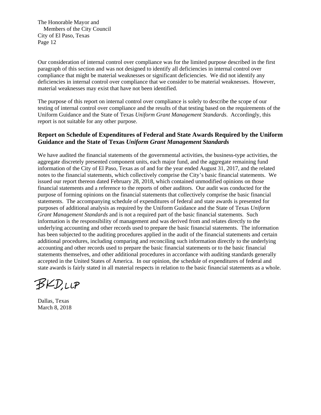The Honorable Mayor and Members of the City Council City of El Paso, Texas Page 12

Our consideration of internal control over compliance was for the limited purpose described in the first paragraph of this section and was not designed to identify all deficiencies in internal control over compliance that might be material weaknesses or significant deficiencies. We did not identify any deficiencies in internal control over compliance that we consider to be material weaknesses. However, material weaknesses may exist that have not been identified.

The purpose of this report on internal control over compliance is solely to describe the scope of our testing of internal control over compliance and the results of that testing based on the requirements of the Uniform Guidance and the State of Texas *Uniform Grant Management Standards*. Accordingly, this report is not suitable for any other purpose.

#### **Report on Schedule of Expenditures of Federal and State Awards Required by the Uniform Guidance and the State of Texas** *Uniform Grant Management Standards*

We have audited the financial statements of the governmental activities, the business-type activities, the aggregate discretely presented component units, each major fund, and the aggregate remaining fund information of the City of El Paso, Texas as of and for the year ended August 31, 2017, and the related notes to the financial statements, which collectively comprise the City's basic financial statements. We issued our report thereon dated February 28, 2018, which contained unmodified opinions on those financial statements and a reference to the reports of other auditors. Our audit was conducted for the purpose of forming opinions on the financial statements that collectively comprise the basic financial statements. The accompanying schedule of expenditures of federal and state awards is presented for purposes of additional analysis as required by the Uniform Guidance and the State of Texas *Uniform Grant Management Standards* and is not a required part of the basic financial statements. Such information is the responsibility of management and was derived from and relates directly to the underlying accounting and other records used to prepare the basic financial statements. The information has been subjected to the auditing procedures applied in the audit of the financial statements and certain additional procedures, including comparing and reconciling such information directly to the underlying accounting and other records used to prepare the basic financial statements or to the basic financial statements themselves, and other additional procedures in accordance with auditing standards generally accepted in the United States of America. In our opinion, the schedule of expenditures of federal and state awards is fairly stated in all material respects in relation to the basic financial statements as a whole.

**BKD,LLP** 

Dallas, Texas March 8, 2018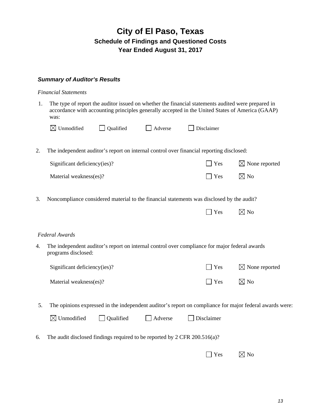### **City of El Paso, Texas Schedule of Findings and Questioned Costs Year Ended August 31, 2017**

#### *Summary of Auditor's Results*

#### *Financial Statements*

1. The type of report the auditor issued on whether the financial statements audited were prepared in accordance with accounting principles generally accepted in the United States of America (GAAP) was:

| $\boxtimes$ Unmodified | $\Box$ Qualified | $\Box$ Adverse | $\Box$ Disclaimer |
|------------------------|------------------|----------------|-------------------|
|                        |                  |                |                   |

2. The independent auditor's report on internal control over financial reporting disclosed:

| Significant deficiency(ies)? | $\Box$ Yes | $\boxtimes$ None reported |
|------------------------------|------------|---------------------------|
| Material weakness(es)?       | $\Box$ Yes | $\boxtimes$ No            |

3. Noncompliance considered material to the financial statements was disclosed by the audit?

| Yes | $\boxtimes$ No |
|-----|----------------|
|-----|----------------|

#### *Federal Awards*

4. The independent auditor's report on internal control over compliance for major federal awards programs disclosed:

| Significant deficiency(ies)? | $\Box$ Yes | $\boxtimes$ None reported |
|------------------------------|------------|---------------------------|
| Material weakness(es)?       | $\Box$ Yes | $\boxtimes$ No            |

5. The opinions expressed in the independent auditor's report on compliance for major federal awards were:

| $\boxtimes$ Unmodified | $\Box$ Qualified | $\Box$ Adverse | $\Box$ Disclaimer |
|------------------------|------------------|----------------|-------------------|
|------------------------|------------------|----------------|-------------------|

6. The audit disclosed findings required to be reported by 2 CFR 200.516(a)?

| Yes | $\boxtimes$ No |
|-----|----------------|
|-----|----------------|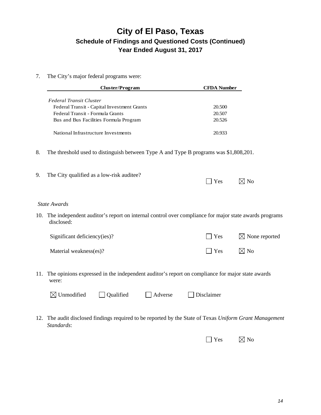### **City of El Paso, Texas Schedule of Findings and Questioned Costs (Continued) Year Ended August 31, 2017**

7. The City's major federal programs were:

| Cluster/Program                             | <b>CFDA Number</b> |
|---------------------------------------------|--------------------|
| Federal Transit Cluster                     |                    |
| Federal Transit - Capital Investment Grants | 20.500             |
| Federal Transit - Formula Grants            | 20.507             |
| Bus and Bus Facilities Formula Program      | 20.526             |
| National Infrastructure Investments         | 20.933             |

- 8. The threshold used to distinguish between Type A and Type B programs was \$1,808,201.
- 9. The City qualified as a low-risk auditee?

#### *State Awards*

10. The independent auditor's report on internal control over compliance for major state awards programs disclosed:

| Significant deficiency(ies)? | $\blacksquare$ Yes | $\boxtimes$ None reported |
|------------------------------|--------------------|---------------------------|
| Material weakness(es)?       | $\Box$ Yes         | $\boxtimes$ No            |

11. The opinions expressed in the independent auditor's report on compliance for major state awards were:

| $\boxtimes$ Unmodified | $\Box$ Qualified | $\Box$ Adverse | $\Box$ Disclaimer |  |
|------------------------|------------------|----------------|-------------------|--|
|------------------------|------------------|----------------|-------------------|--|

12. The audit disclosed findings required to be reported by the State of Texas *Uniform Grant Management Standards*:

| Yes | $\boxtimes$ No |
|-----|----------------|
|-----|----------------|

 $\Box$  Yes  $\boxtimes$  No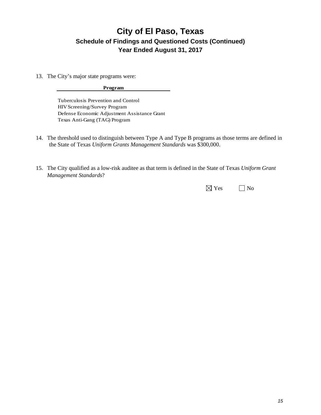### **City of El Paso, Texas Schedule of Findings and Questioned Costs (Continued) Year Ended August 31, 2017**

13. The City's major state programs were:

**Program**

Tuberculosis Prevention and Control HIV Screening/Survey Program Defense Economic Adjustment Assistance Grant Texas Anti-Gang (TAG) Program

- 14. The threshold used to distinguish between Type A and Type B programs as those terms are defined in the State of Texas *Uniform Grants Management Standards* was \$300,000.
- 15. The City qualified as a low-risk auditee as that term is defined in the State of Texas *Uniform Grant Management Standards*?

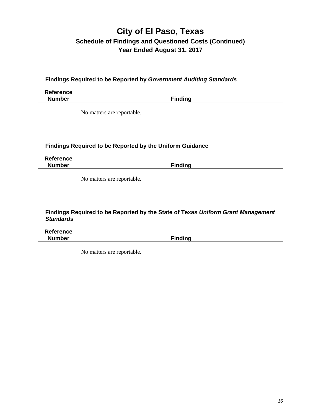### **City of El Paso, Texas Schedule of Findings and Questioned Costs (Continued) Year Ended August 31, 2017**

**Findings Required to be Reported by** *Government Auditing Standards* 

**Reference Number Finding Community Property** 

No matters are reportable.

#### **Findings Required to be Reported by the Uniform Guidance**

**Reference Number Finding Community Property** 

No matters are reportable.

#### **Findings Required to be Reported by the State of Texas** *Uniform Grant Management Standards*

**Reference Number Finding Community Community Property** 

No matters are reportable.